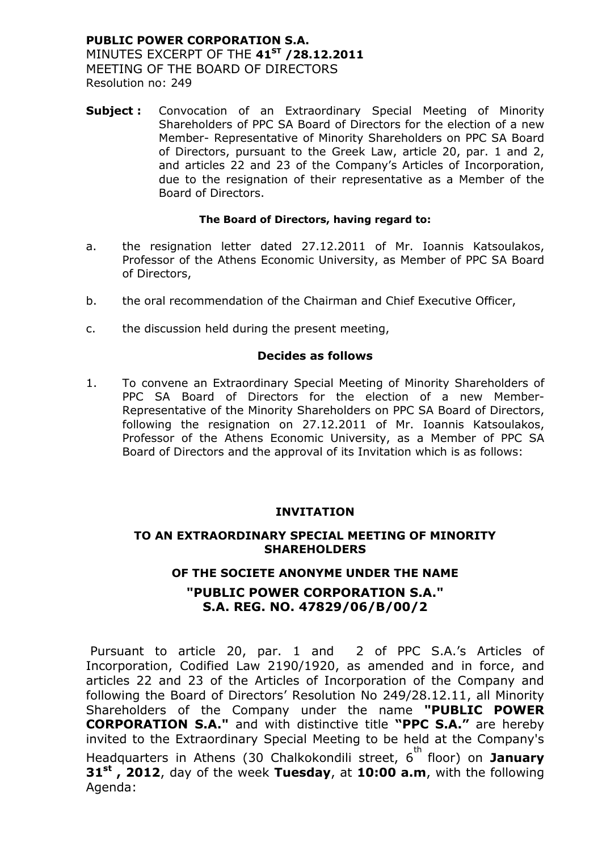### **PUBLIC POWER CORPORATION S.A.** MINUTES EXCERPT OF THE **41ST /28.12.2011** MEETING OF THE BOARD OF DIRECTORS Resolution no: 249

**Subject :** Convocation of an Extraordinary Special Meeting of Minority Shareholders of PPC SA Board of Directors for the election of a new Member- Representative of Minority Shareholders on PPC SA Board of Directors, pursuant to the Greek Law, article 20, par. 1 and 2, and articles 22 and 23 of the Company's Articles of Incorporation, due to the resignation of their representative as a Member of the Board of Directors.

### **The Board of Directors, having regard to:**

- a. the resignation letter dated 27.12.2011 of Mr. Ioannis Katsoulakos, Professor of the Athens Economic University, as Member of PPC SA Board of Directors,
- b. the oral recommendation of the Chairman and Chief Executive Officer,
- c. the discussion held during the present meeting,

### **Decides as follows**

1. To convene an Extraordinary Special Meeting of Minority Shareholders of PPC SA Board of Directors for the election of a new Member-Representative of the Minority Shareholders on PPC SA Board of Directors, following the resignation on 27.12.2011 of Mr. Ioannis Katsoulakos, Professor of the Athens Economic University, as a Member of PPC SA Board of Directors and the approval of its Invitation which is as follows:

### **INVITATION**

### **TO AN EXTRAORDINARY SPECIAL MEETING OF MINORITY SHAREHOLDERS**

### **OF THE SOCIETE ANONYME UNDER THE NAME**

### **"PUBLIC POWER CORPORATION S.A." S.A. REG. NO. 47829/06/B/00/2**

Pursuant to article 20, par. 1 and 2 of PPC S.A.'s Articles of Incorporation, Codified Law 2190/1920, as amended and in force, and articles 22 and 23 of the Articles of Incorporation of the Company and following the Board of Directors' Resolution No 249/28.12.11, all Minority Shareholders of the Company under the name **"PUBLIC POWER CORPORATION S.A."** and with distinctive title **"PPC S.A."** are hereby invited to the Extraordinary Special Meeting to be held at the Company's Headquarters in Athens (30 Chalkokondili street, 6<sup>th</sup> floor) on **January 31st , 2012**, day of the week **Tuesday**, at **10:00 a.m**, with the following Agenda: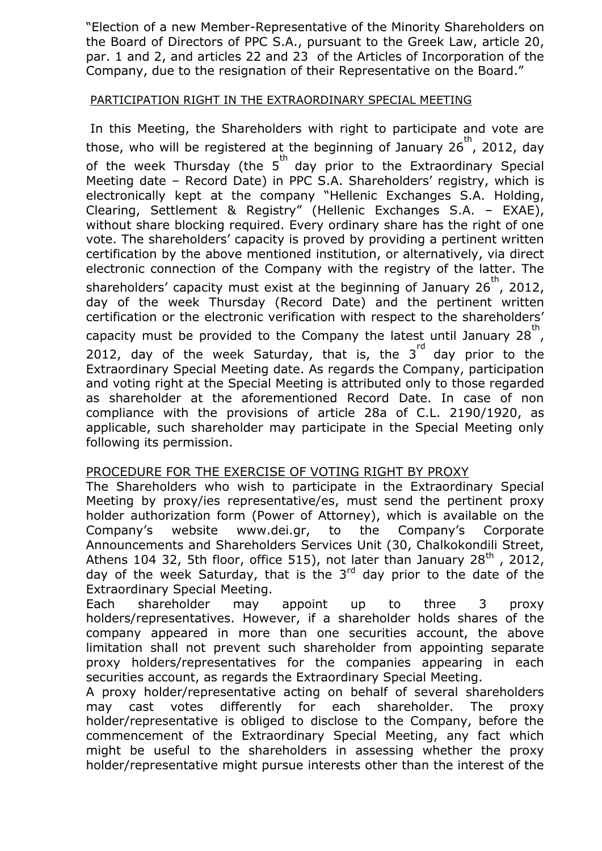"Election of a new Member-Representative of the Minority Shareholders on the Board of Directors of PPC S.A., pursuant to the Greek Law, article 20, par. 1 and 2, and articles 22 and 23 of the Articles of Incorporation of the Company, due to the resignation of their Representative on the Board."

# PARTICIPATION RIGHT IN THE EXTRAORDINARY SPECIAL MEETING

In this Meeting, the Shareholders with right to participate and vote are those, who will be registered at the beginning of January 26<sup>th</sup>, 2012, day of the week Thursday (the 5<sup>th</sup> day prior to the Extraordinary Special Meeting date – Record Date) in PPC S.A. Shareholders' registry, which is electronically kept at the company "Hellenic Exchanges S.A. Holding, Clearing, Settlement & Registry" (Hellenic Exchanges S.A. – EXAE), without share blocking required. Every ordinary share has the right of one vote. The shareholders' capacity is proved by providing a pertinent written certification by the above mentioned institution, or alternatively, via direct electronic connection of the Company with the registry of the latter. The shareholders' capacity must exist at the beginning of January 26<sup>th</sup>, 2012, day of the week Thursday (Record Date) and the pertinent written certification or the electronic verification with respect to the shareholders' capacity must be provided to the Company the latest until January 28<sup>th</sup>, 2012, day of the week Saturday, that is, the  $3^{rd}$  day prior to the Extraordinary Special Meeting date. As regards the Company, participation and voting right at the Special Meeting is attributed only to those regarded as shareholder at the aforementioned Record Date. In case of non compliance with the provisions of article 28a of C.L. 2190/1920, as applicable, such shareholder may participate in the Special Meeting only following its permission.

# PROCEDURE FOR THE EXERCISE OF VOTING RIGHT BY PROXY

The Shareholders who wish to participate in the Extraordinary Special Meeting by proxy/ies representative/es, must send the pertinent proxy holder authorization form (Power of Attorney), which is available on the Company's website www.dei.gr, to the Company's Corporate Announcements and Shareholders Services Unit (30, Chalkokondili Street, Athens 104 32, 5th floor, office 515), not later than January  $28<sup>th</sup>$ , 2012, day of the week Saturday, that is the  $3<sup>rd</sup>$  day prior to the date of the Extraordinary Special Meeting.

Each shareholder may appoint up to three 3 proxy holders/representatives. However, if a shareholder holds shares of the company appeared in more than one securities account, the above limitation shall not prevent such shareholder from appointing separate proxy holders/representatives for the companies appearing in each securities account, as regards the Extraordinary Special Meeting.

A proxy holder/representative acting on behalf of several shareholders may cast votes differently for each shareholder. The proxy holder/representative is obliged to disclose to the Company, before the commencement of the Extraordinary Special Meeting, any fact which might be useful to the shareholders in assessing whether the proxy holder/representative might pursue interests other than the interest of the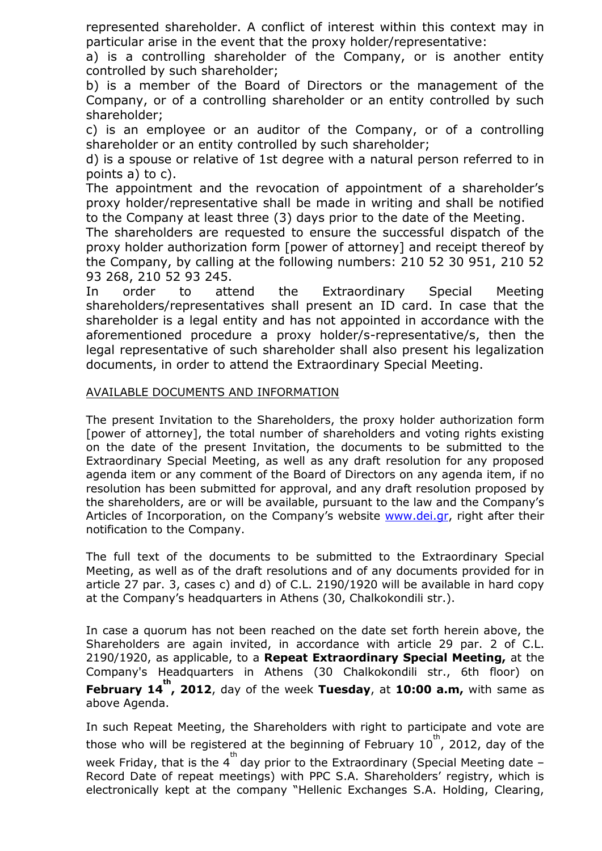represented shareholder. A conflict of interest within this context may in particular arise in the event that the proxy holder/representative:

a) is a controlling shareholder of the Company, or is another entity controlled by such shareholder;

b) is a member of the Board of Directors or the management of the Company, or of a controlling shareholder or an entity controlled by such shareholder;

c) is an employee or an auditor of the Company, or of a controlling shareholder or an entity controlled by such shareholder;

d) is a spouse or relative of 1st degree with a natural person referred to in points a) to c).

The appointment and the revocation of appointment of a shareholder's proxy holder/representative shall be made in writing and shall be notified to the Company at least three (3) days prior to the date of the Meeting.

The shareholders are requested to ensure the successful dispatch of the proxy holder authorization form [power of attorney] and receipt thereof by the Company, by calling at the following numbers: 210 52 30 951, 210 52 93 268, 210 52 93 245.

In order to attend the Extraordinary Special Meeting shareholders/representatives shall present an ID card. In case that the shareholder is a legal entity and has not appointed in accordance with the aforementioned procedure a proxy holder/s-representative/s, then the legal representative of such shareholder shall also present his legalization documents, in order to attend the Extraordinary Special Meeting.

# AVAILABLE DOCUMENTS AND INFORMATION

The present Invitation to the Shareholders, the proxy holder authorization form [power of attorney], the total number of shareholders and voting rights existing on the date of the present Invitation, the documents to be submitted to the Extraordinary Special Meeting, as well as any draft resolution for any proposed agenda item or any comment of the Board of Directors on any agenda item, if no resolution has been submitted for approval, and any draft resolution proposed by the shareholders, are or will be available, pursuant to the law and the Company's Articles of Incorporation, on the Company's website [www.dei.gr,](http://www.dei.com.gr/Default.aspx?lang=2) right after their notification to the Company.

The full text of the documents to be submitted to the Extraordinary Special Meeting, as well as of the draft resolutions and of any documents provided for in article 27 par. 3, cases c) and d) of C.L. 2190/1920 will be available in hard copy at the Company's headquarters in Athens (30, Chalkokondili str.).

In case a quorum has not been reached on the date set forth herein above, the Shareholders are again invited, in accordance with article 29 par. 2 of C.L. 2190/1920, as applicable, to a **Repeat Extraordinary Special Meeting,** at the Company's Headquarters in Athens (30 Chalkokondili str., 6th floor) on **February 14<sup>th</sup>, 2012**, day of the week Tuesday, at 10:00 a.m, with same as above Agenda.

In such Repeat Meeting, the Shareholders with right to participate and vote are those who will be registered at the beginning of February  $10^{th}$ , 2012, day of the week Friday, that is the  $4^{th}$  day prior to the Extraordinary (Special Meeting date -Record Date of repeat meetings) with PPC S.A. Shareholders' registry, which is electronically kept at the company "Hellenic Exchanges S.A. Holding, Clearing,